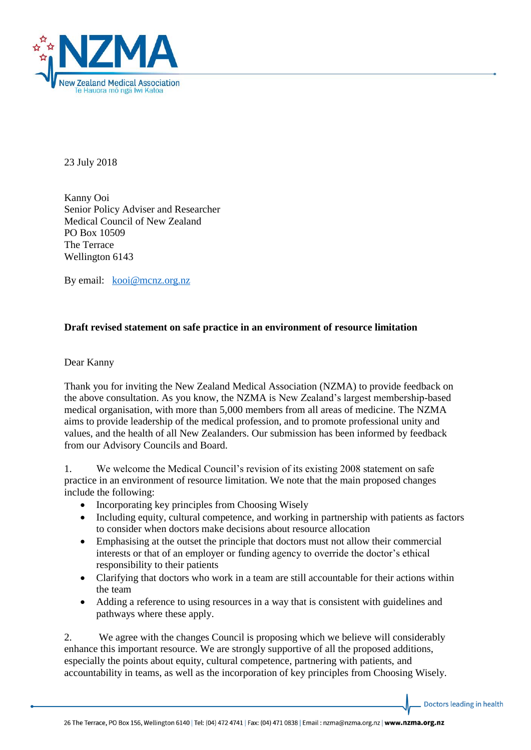

23 July 2018

Kanny Ooi Senior Policy Adviser and Researcher Medical Council of New Zealand PO Box 10509 The Terrace Wellington 6143

By email: [kooi@mcnz.org.nz](mailto:kooi@mcnz.org.nz)

## **Draft revised statement on safe practice in an environment of resource limitation**

## Dear Kanny

Thank you for inviting the New Zealand Medical Association (NZMA) to provide feedback on the above consultation. As you know, the NZMA is New Zealand's largest membership-based medical organisation, with more than 5,000 members from all areas of medicine. The NZMA aims to provide leadership of the medical profession, and to promote professional unity and values, and the health of all New Zealanders. Our submission has been informed by feedback from our Advisory Councils and Board.

1. We welcome the Medical Council's revision of its existing 2008 statement on safe practice in an environment of resource limitation. We note that the main proposed changes include the following:

- Incorporating key principles from Choosing Wisely
- Including equity, cultural competence, and working in partnership with patients as factors to consider when doctors make decisions about resource allocation
- Emphasising at the outset the principle that doctors must not allow their commercial interests or that of an employer or funding agency to override the doctor's ethical responsibility to their patients
- Clarifying that doctors who work in a team are still accountable for their actions within the team
- Adding a reference to using resources in a way that is consistent with guidelines and pathways where these apply.

2. We agree with the changes Council is proposing which we believe will considerably enhance this important resource. We are strongly supportive of all the proposed additions, especially the points about equity, cultural competence, partnering with patients, and accountability in teams, as well as the incorporation of key principles from Choosing Wisely.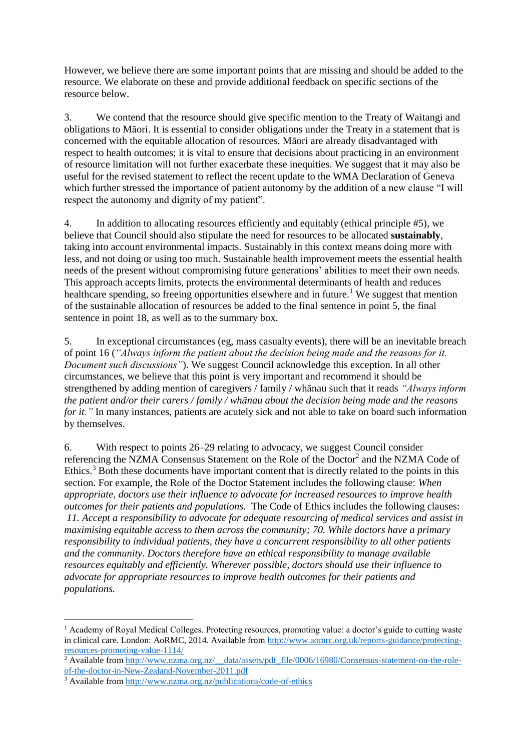However, we believe there are some important points that are missing and should be added to the resource. We elaborate on these and provide additional feedback on specific sections of the resource below.

3. We contend that the resource should give specific mention to the Treaty of Waitangi and obligations to Māori. It is essential to consider obligations under the Treaty in a statement that is concerned with the equitable allocation of resources. Māori are already disadvantaged with respect to health outcomes; it is vital to ensure that decisions about practicing in an environment of resource limitation will not further exacerbate these inequities. We suggest that it may also be useful for the revised statement to reflect the recent update to the WMA Declaration of Geneva which further stressed the importance of patient autonomy by the addition of a new clause "I will respect the autonomy and dignity of my patient".

4. In addition to allocating resources efficiently and equitably (ethical principle #5), we believe that Council should also stipulate the need for resources to be allocated **sustainably**, taking into account environmental impacts. Sustainably in this context means doing more with less, and not doing or using too much. Sustainable health improvement meets the essential health needs of the present without compromising future generations' abilities to meet their own needs. This approach accepts limits, protects the environmental determinants of health and reduces healthcare spending, so freeing opportunities elsewhere and in future.<sup>1</sup> We suggest that mention of the sustainable allocation of resources be added to the final sentence in point 5, the final sentence in point 18, as well as to the summary box.

5. In exceptional circumstances (eg, mass casualty events), there will be an inevitable breach of point 16 (*"Always inform the patient about the decision being made and the reasons for it. Document such discussions"*). We suggest Council acknowledge this exception. In all other circumstances, we believe that this point is very important and recommend it should be strengthened by adding mention of caregivers / family / whānau such that it reads *"Always inform the patient and/or their carers / family / whānau about the decision being made and the reasons for it.*" In many instances, patients are acutely sick and not able to take on board such information by themselves.

6. With respect to points 26–29 relating to advocacy, we suggest Council consider referencing the NZMA Consensus Statement on the Role of the Doctor<sup>2</sup> and the NZMA Code of Ethics.<sup>3</sup> Both these documents have important content that is directly related to the points in this section. For example, the Role of the Doctor Statement includes the following clause: *When appropriate, doctors use their influence to advocate for increased resources to improve health outcomes for their patients and populations.* The Code of Ethics includes the following clauses: *11. Accept a responsibility to advocate for adequate resourcing of medical services and assist in maximising equitable access to them across the community; 70. While doctors have a primary responsibility to individual patients, they have a concurrent responsibility to all other patients and the community. Doctors therefore have an ethical responsibility to manage available resources equitably and efficiently. Wherever possible, doctors should use their influence to advocate for appropriate resources to improve health outcomes for their patients and populations.*

**.** 

<sup>1</sup> Academy of Royal Medical Colleges. Protecting resources, promoting value: a doctor's guide to cutting waste in clinical care. London: AoRMC, 2014. Available from [http://www.aomrc.org.uk/reports-guidance/protecting](http://www.aomrc.org.uk/reports-guidance/protecting-resources-promoting-value-1114/)[resources-promoting-value-1114/](http://www.aomrc.org.uk/reports-guidance/protecting-resources-promoting-value-1114/)

<sup>&</sup>lt;sup>2</sup> Available from http://www.nzma.org.nz/ data/assets/pdf\_file/0006/16980/Consensus-statement-on-the-role[of-the-doctor-in-New-Zealand-November-2011.pdf](http://www.nzma.org.nz/__data/assets/pdf_file/0006/16980/Consensus-statement-on-the-role-of-the-doctor-in-New-Zealand-November-2011.pdf)

<sup>3</sup> Available from<http://www.nzma.org.nz/publications/code-of-ethics>